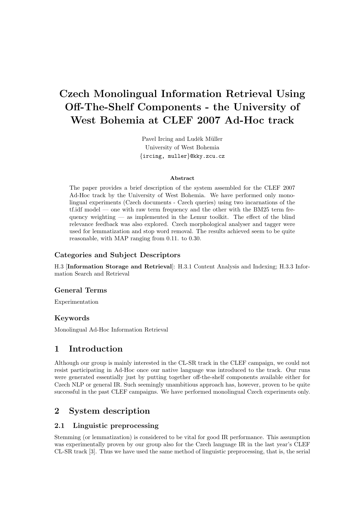# Czech Monolingual Information Retrieval Using Off-The-Shelf Components - the University of West Bohemia at CLEF 2007 Ad-Hoc track

Pavel Ircing and Luděk Müller University of West Bohemia {ircing, muller}@kky.zcu.cz

#### Abstract

The paper provides a brief description of the system assembled for the CLEF 2007 Ad-Hoc track by the University of West Bohemia. We have performed only monolingual experiments (Czech documents - Czech queries) using two incarnations of the tf.idf model — one with raw term frequency and the other with the BM25 term frequency weighting — as implemented in the Lemur toolkit. The effect of the blind relevance feedback was also explored. Czech morphological analyser and tagger were used for lemmatization and stop word removal. The results achieved seem to be quite reasonable, with MAP ranging from 0.11. to 0.30.

### Categories and Subject Descriptors

H.3 [Information Storage and Retrieval]: H.3.1 Content Analysis and Indexing; H.3.3 Information Search and Retrieval

### General Terms

Experimentation

### Keywords

Monolingual Ad-Hoc Information Retrieval

# 1 Introduction

Although our group is mainly interested in the CL-SR track in the CLEF campaign, we could not resist participating in Ad-Hoc once our native language was introduced to the track. Our runs were generated essentially just by putting together off-the-shelf components available either for Czech NLP or general IR. Such seemingly unambitious approach has, however, proven to be quite successful in the past CLEF campaigns. We have performed monolingual Czech experiments only.

# 2 System description

### 2.1 Linguistic preprocessing

Stemming (or lemmatization) is considered to be vital for good IR performance. This assumption was experimentally proven by our group also for the Czech language IR in the last year's CLEF CL-SR track [3]. Thus we have used the same method of linguistic preprocessing, that is, the serial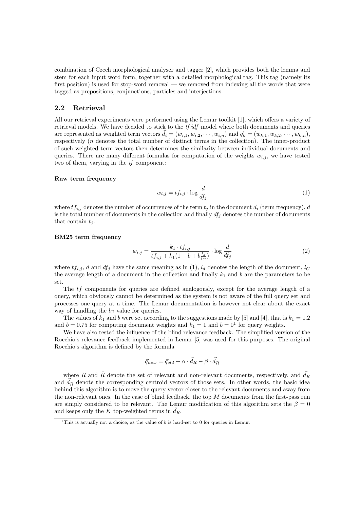combination of Czech morphological analyser and tagger [2], which provides both the lemma and stem for each input word form, together with a detailed morphological tag. This tag (namely its first position) is used for stop-word removal — we removed from indexing all the words that were tagged as prepositions, conjunctions, particles and interjections.

#### 2.2 Retrieval

All our retrieval experiments were performed using the Lemur toolkit [1], which offers a variety of retrieval models. We have decided to stick to the  $tf.idf$  model where both documents and queries are represented as weighted term vectors  $d_i = (w_{i,1}, w_{i,2}, \dots, w_{i,n})$  and  $\vec{q}_k = (w_{k,1}, w_{k,2}, \dots, w_{k,n}),$ respectively (n denotes the total number of distinct terms in the collection). The inner-product of such weighted term vectors then determines the similarity between individual documents and queries. There are many different formulas for computation of the weights  $w_{i,j}$ , we have tested two of them, varying in the tf component:

#### Raw term frequency

$$
w_{i,j} = tf_{i,j} \cdot \log \frac{d}{df_j} \tag{1}
$$

where  $tf_{i,j}$  denotes the number of occurrences of the term  $t_j$  in the document  $d_i$  (term frequency), d is the total number of documents in the collection and finally  $df_j$  denotes the number of documents that contain  $t_i$ .

#### BM25 term frequency

$$
w_{i,j} = \frac{k_1 \cdot tf_{i,j}}{tf_{i,j} + k_1(1 - b + b\frac{l_d}{l_C})} \cdot \log \frac{d}{df_j}
$$
 (2)

where  $tf_{i,j}$ , d and  $df_j$  have the same meaning as in (1),  $l_d$  denotes the length of the document,  $l_c$ the average length of a document in the collection and finally  $k_1$  and b are the parameters to be set.

The tf components for queries are defined analogously, except for the average length of a query, which obviously cannot be determined as the system is not aware of the full query set and processes one query at a time. The Lemur documentation is however not clear about the exact way of handling the  $l<sub>C</sub>$  value for queries.

The values of  $k_1$  and b were set according to the suggestions made by [5] and [4], that is  $k_1 = 1.2$ and  $b = 0.75$  for computing document weights and  $k_1 = 1$  and  $b = 0<sup>1</sup>$  for query weights.

We have also tested the influence of the blind relevance feedback. The simplified version of the Rocchio's relevance feedback implemented in Lemur [5] was used for this purposes. The original Rocchio's algorithm is defined by the formula

$$
\vec{q}_{new} = \vec{q}_{old} + \alpha \cdot \vec{d}_R - \beta \cdot \vec{d}_{\bar{R}}
$$

where R and  $\bar{R}$  denote the set of relevant and non-relevant documents, respectively, and  $\vec{d}_R$ and  $\overrightarrow{d}_{\overline{R}}$  denote the corresponding centroid vectors of those sets. In other words, the basic idea behind this algorithm is to move the query vector closer to the relevant documents and away from the non-relevant ones. In the case of blind feedback, the top  $M$  documents from the first-pass run are simply considered to be relevant. The Lemur modification of this algorithm sets the  $\beta = 0$ and keeps only the K top-weighted terms in  $d_R$ .

<sup>&</sup>lt;sup>1</sup>This is actually not a choice, as the value of  $b$  is hard-set to 0 for queries in Lemur.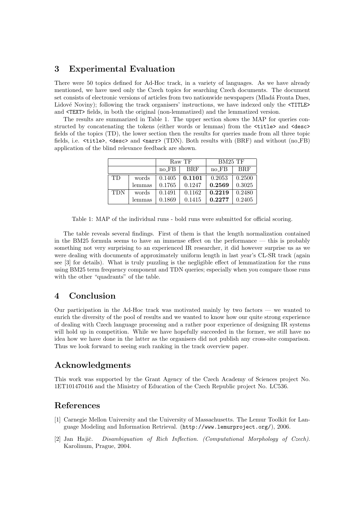### 3 Experimental Evaluation

There were 50 topics defined for Ad-Hoc track, in a variety of languages. As we have already mentioned, we have used only the Czech topics for searching Czech documents. The document set consists of electronic versions of articles from two nationwide newspapers (Mladá Fronta Dnes, Lidové Noviny); following the track organisers' instructions, we have indexed only the  $\leq$ TITLE> and <TEXT> fields, in both the original (non-lemmatized) and the lemmatized version.

The results are summarized in Table 1. The upper section shows the MAP for queries constructed by concatenating the tokens (either words or lemmas) from the  $\text{title>}$  and  $\text{degree}$ fields of the topics (TD), the lower section then the results for queries made from all three topic fields, i.e.  $\text{title}$ ,  $\text{degree}$  and  $\text{energy}$  (TDN). Both results with (BRF) and without (no FB) application of the blind relevance feedback are shown.

|            |        | Raw TF    |            | BM25 TF   |            |
|------------|--------|-----------|------------|-----------|------------|
|            |        | $no$ $FB$ | <b>BRF</b> | $no$ $FB$ | <b>BRF</b> |
| <b>TD</b>  | words  | 0.1405    | 0.1101     | 0.2053    | 0.2500     |
|            | lemmas | 0.1765    | 0.1247     | 0.2569    | 0.3025     |
| <b>TDN</b> | words  | 0.1491    | 0.1162     | 0.2219    | 0.2480     |
|            | lemmas | 0.1869    | 0.1415     | 0.2277    | 0.2405     |

Table 1: MAP of the individual runs - bold runs were submitted for official scoring.

The table reveals several findings. First of them is that the length normalization contained in the BM25 formula seems to have an immense effect on the performance — this is probably something not very surprising to an experienced IR researcher, it did however surprise us as we were dealing with documents of approximately uniform length in last year's CL-SR track (again see [3] for details). What is truly puzzling is the negligible effect of lemmatization for the runs using BM25 term frequency component and TDN queries; especially when you compare those runs with the other "quadrants" of the table.

# 4 Conclusion

Our participation in the Ad-Hoc track was motivated mainly by two factors — we wanted to enrich the diversity of the pool of results and we wanted to know how our quite strong experience of dealing with Czech language processing and a rather poor experience of designing IR systems will hold up in competition. While we have hopefully succeeded in the former, we still have no idea how we have done in the latter as the organisers did not publish any cross-site comparison. Thus we look forward to seeing such ranking in the track overview paper.

# Acknowledgments

This work was supported by the Grant Agency of the Czech Academy of Sciences project No. 1ET101470416 and the Ministry of Education of the Czech Republic project No. LC536.

### References

- [1] Carnegie Mellon University and the University of Massachusetts. The Lemur Toolkit for Language Modeling and Information Retrieval. (http://www.lemurproject.org/), 2006.
- [2] Jan Hajič. Disambiguation of Rich Inflection. (Computational Morphology of Czech). Karolinum, Prague, 2004.